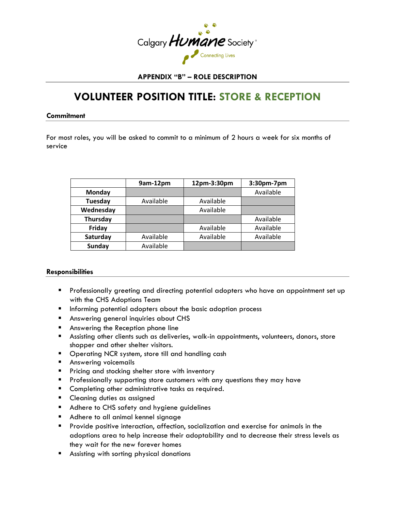

# **APPENDIX "B" – ROLE DESCRIPTION**

# **VOLUNTEER POSITION TITLE: STORE & RECEPTION**

**Commitment**

For most roles, you will be asked to commit to a minimum of 2 hours a week for six months of service

|                | 9am-12pm  | 12pm-3:30pm | 3:30pm-7pm |
|----------------|-----------|-------------|------------|
| Monday         |           |             | Available  |
| <b>Tuesday</b> | Available | Available   |            |
| Wednesday      |           | Available   |            |
| Thursday       |           |             | Available  |
| Friday         |           | Available   | Available  |
| Saturday       | Available | Available   | Available  |
| <b>Sunday</b>  | Available |             |            |

# **Responsibilities**

- **Professionally greeting and directing potential adopters who have an appointment set up** with the CHS Adoptions Team
- **Informing potential adopters about the basic adoption process**
- **Answering general inquiries about CHS**
- **Answering the Reception phone line**
- Assisting other clients such as deliveries, walk-in appointments, volunteers, donors, store shopper and other shelter visitors.
- **Dearating NCR system, store till and handling cash**
- **Answering voicemails**
- **Pricing and stocking shelter store with inventory**
- **Professionally supporting store customers with any questions they may have**
- **Completing other administrative tasks as required.**
- **Cleaning duties as assigned**
- Adhere to CHS safety and hygiene guidelines
- **Adhere to all animal kennel signage**
- **Provide positive interaction, affection, socialization and exercise for animals in the** adoptions area to help increase their adoptability and to decrease their stress levels as they wait for the new forever homes
- Assisting with sorting physical donations